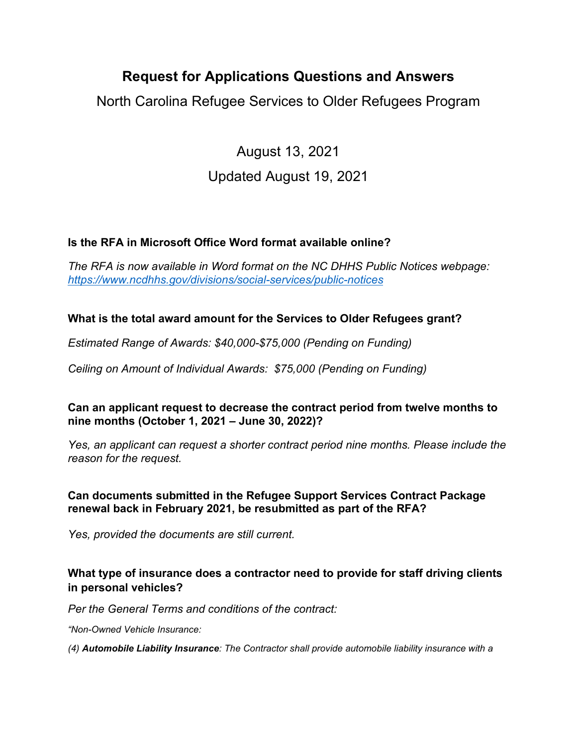# **Request for Applications Questions and Answers**

North Carolina Refugee Services to Older Refugees Program

August 13, 2021

## Updated August 19, 2021

## **Is the RFA in Microsoft Office Word format available online?**

*The RFA is now available in Word format on the NC DHHS Public Notices webpage: <https://www.ncdhhs.gov/divisions/social-services/public-notices>*

## **What is the total award amount for the Services to Older Refugees grant?**

*Estimated Range of Awards: \$40,000-\$75,000 (Pending on Funding)*

*Ceiling on Amount of Individual Awards: \$75,000 (Pending on Funding)* 

**Can an applicant request to decrease the contract period from twelve months to nine months (October 1, 2021 – June 30, 2022)?**

*Yes, an applicant can request a shorter contract period nine months. Please include the reason for the request.* 

## **Can documents submitted in the Refugee Support Services Contract Package renewal back in February 2021, be resubmitted as part of the RFA?**

*Yes, provided the documents are still current.* 

## **What type of insurance does a contractor need to provide for staff driving clients in personal vehicles?**

*Per the General Terms and conditions of the contract:* 

*"Non-Owned Vehicle Insurance:*

*(4) Automobile Liability Insurance: The Contractor shall provide automobile liability insurance with a*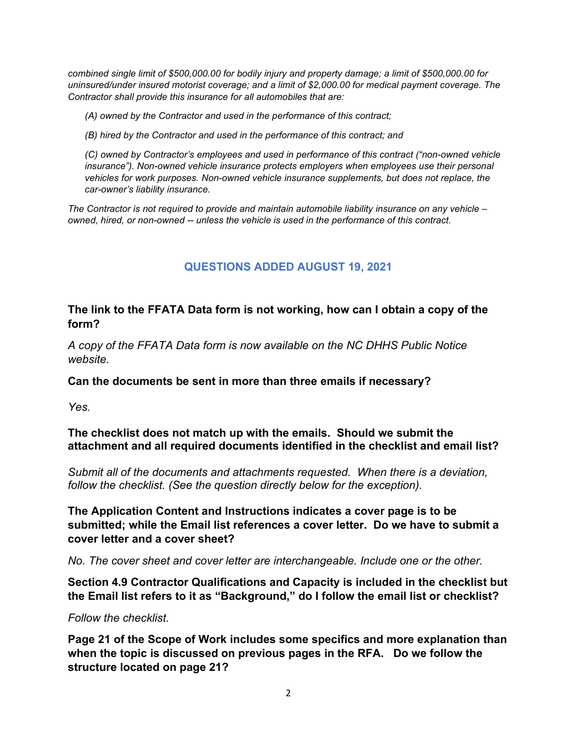*combined single limit of \$500,000.00 for bodily injury and property damage; a limit of \$500,000.00 for uninsured/under insured motorist coverage; and a limit of \$2,000.00 for medical payment coverage. The Contractor shall provide this insurance for all automobiles that are:* 

*(A) owned by the Contractor and used in the performance of this contract;*

*(B) hired by the Contractor and used in the performance of this contract; and*

*(C) owned by Contractor's employees and used in performance of this contract ("non-owned vehicle insurance"). Non-owned vehicle insurance protects employers when employees use their personal vehicles for work purposes. Non-owned vehicle insurance supplements, but does not replace, the car-owner's liability insurance.* 

*The Contractor is not required to provide and maintain automobile liability insurance on any vehicle – owned, hired, or non-owned -- unless the vehicle is used in the performance of this contract.*

## **QUESTIONS ADDED AUGUST 19, 2021**

#### **The link to the FFATA Data form is not working, how can I obtain a copy of the form?**

*A copy of the FFATA Data form is now available on the NC DHHS Public Notice website.* 

**Can the documents be sent in more than three emails if necessary?**

*Yes.* 

**The checklist does not match up with the emails. Should we submit the attachment and all required documents identified in the checklist and email list?**

*Submit all of the documents and attachments requested. When there is a deviation, follow the checklist. (See the question directly below for the exception).* 

**The Application Content and Instructions indicates a cover page is to be submitted; while the Email list references a cover letter. Do we have to submit a cover letter and a cover sheet?**

*No. The cover sheet and cover letter are interchangeable. Include one or the other.* 

**Section 4.9 Contractor Qualifications and Capacity is included in the checklist but the Email list refers to it as "Background," do I follow the email list or checklist?**

*Follow the checklist.*

**Page 21 of the Scope of Work includes some specifics and more explanation than when the topic is discussed on previous pages in the RFA. Do we follow the structure located on page 21?**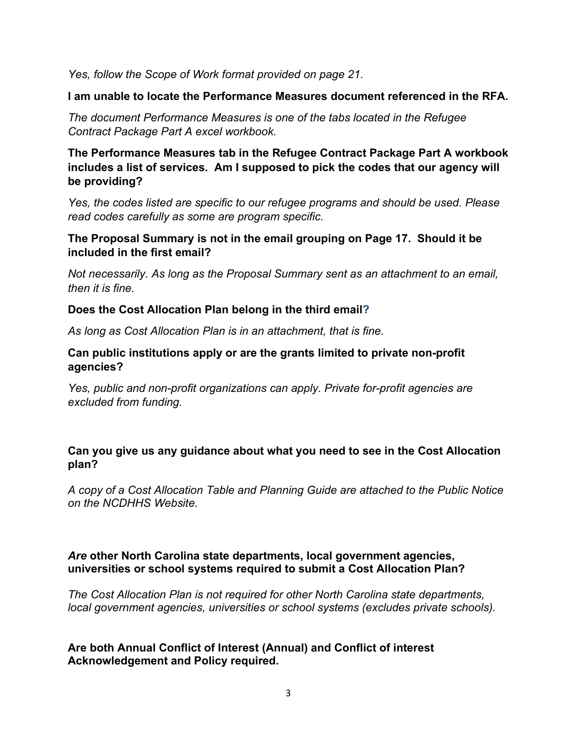*Yes, follow the Scope of Work format provided on page 21.* 

**I am unable to locate the Performance Measures document referenced in the RFA.**

*The document Performance Measures is one of the tabs located in the Refugee Contract Package Part A excel workbook.* 

**The Performance Measures tab in the Refugee Contract Package Part A workbook includes a list of services. Am I supposed to pick the codes that our agency will be providing?** 

*Yes, the codes listed are specific to our refugee programs and should be used. Please read codes carefully as some are program specific.* 

#### **The Proposal Summary is not in the email grouping on Page 17. Should it be included in the first email?**

*Not necessarily. As long as the Proposal Summary sent as an attachment to an email, then it is fine.* 

#### **Does the Cost Allocation Plan belong in the third email?**

*As long as Cost Allocation Plan is in an attachment, that is fine.*

#### **Can public institutions apply or are the grants limited to private non-profit agencies?**

*Yes, public and non-profit organizations can apply. Private for-profit agencies are excluded from funding.*

#### **Can you give us any guidance about what you need to see in the Cost Allocation plan?**

*A copy of a Cost Allocation Table and Planning Guide are attached to the Public Notice on the NCDHHS Website.*

#### *Are* **other North Carolina state departments, local government agencies, universities or school systems required to submit a Cost Allocation Plan?**

*The Cost Allocation Plan is not required for other North Carolina state departments, local government agencies, universities or school systems (excludes private schools).*

#### **Are both Annual Conflict of Interest (Annual) and Conflict of interest Acknowledgement and Policy required.**